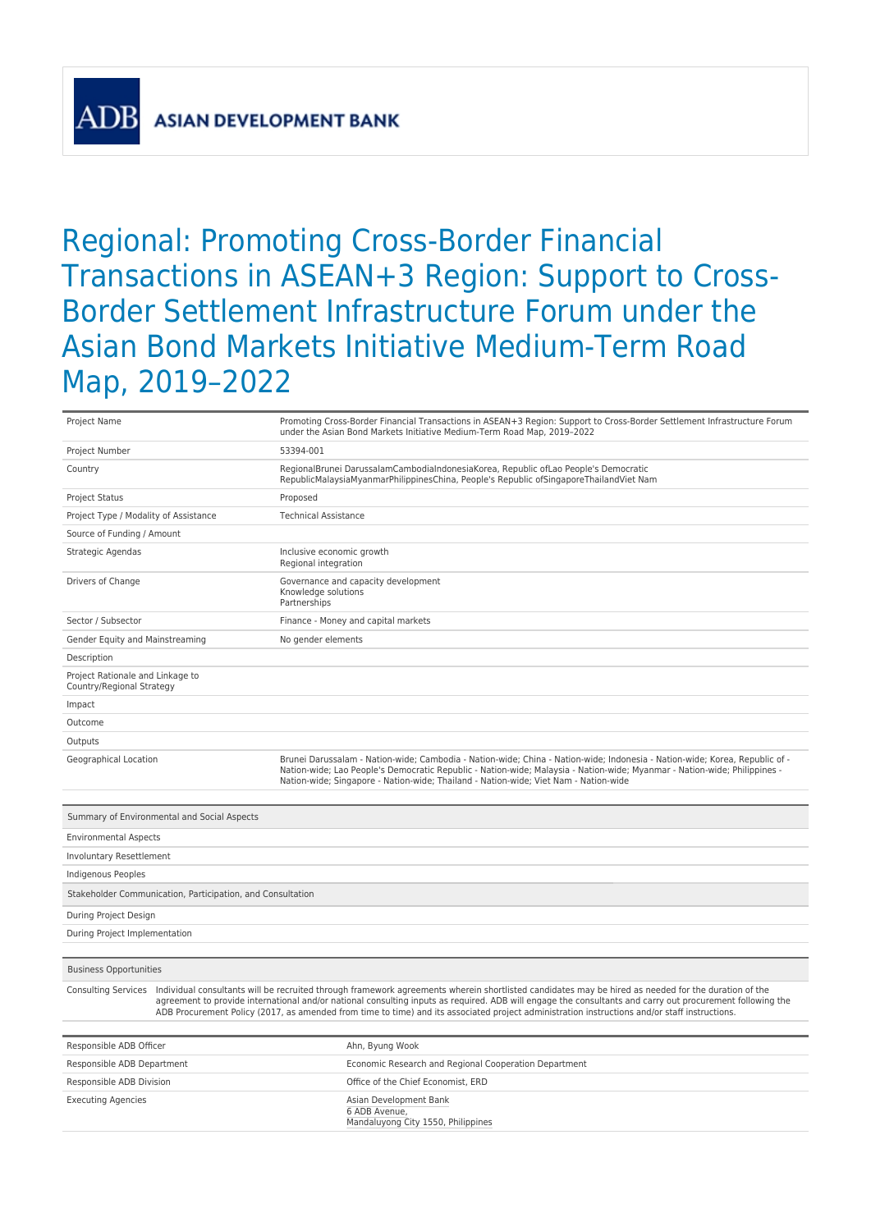**ASIAN DEVELOPMENT BANK** 

## Regional: Promoting Cross-Border Financial Transactions in ASEAN+3 Region: Support to Cross-Border Settlement Infrastructure Forum under the Asian Bond Markets Initiative Medium-Term Road Map, 2019–2022

| Project Name                                                                                                                                                                                                                                                                                                                                                                                                                                                                          |  | Promoting Cross-Border Financial Transactions in ASEAN+3 Region: Support to Cross-Border Settlement Infrastructure Forum<br>under the Asian Bond Markets Initiative Medium-Term Road Map, 2019-2022                                                                                                                                              |  |  |
|---------------------------------------------------------------------------------------------------------------------------------------------------------------------------------------------------------------------------------------------------------------------------------------------------------------------------------------------------------------------------------------------------------------------------------------------------------------------------------------|--|--------------------------------------------------------------------------------------------------------------------------------------------------------------------------------------------------------------------------------------------------------------------------------------------------------------------------------------------------|--|--|
| Project Number                                                                                                                                                                                                                                                                                                                                                                                                                                                                        |  | 53394-001                                                                                                                                                                                                                                                                                                                                        |  |  |
| Country                                                                                                                                                                                                                                                                                                                                                                                                                                                                               |  | RegionalBrunei DarussalamCambodiaIndonesiaKorea, Republic ofLao People's Democratic<br>RepublicMalaysiaMyanmarPhilippinesChina, People's Republic ofSingaporeThailandViet Nam                                                                                                                                                                    |  |  |
| <b>Project Status</b>                                                                                                                                                                                                                                                                                                                                                                                                                                                                 |  | Proposed                                                                                                                                                                                                                                                                                                                                         |  |  |
| Project Type / Modality of Assistance                                                                                                                                                                                                                                                                                                                                                                                                                                                 |  | <b>Technical Assistance</b>                                                                                                                                                                                                                                                                                                                      |  |  |
| Source of Funding / Amount                                                                                                                                                                                                                                                                                                                                                                                                                                                            |  |                                                                                                                                                                                                                                                                                                                                                  |  |  |
| Strategic Agendas                                                                                                                                                                                                                                                                                                                                                                                                                                                                     |  | Inclusive economic growth<br>Regional integration                                                                                                                                                                                                                                                                                                |  |  |
| Drivers of Change                                                                                                                                                                                                                                                                                                                                                                                                                                                                     |  | Governance and capacity development<br>Knowledge solutions<br>Partnerships                                                                                                                                                                                                                                                                       |  |  |
| Sector / Subsector                                                                                                                                                                                                                                                                                                                                                                                                                                                                    |  | Finance - Money and capital markets                                                                                                                                                                                                                                                                                                              |  |  |
| Gender Equity and Mainstreaming                                                                                                                                                                                                                                                                                                                                                                                                                                                       |  | No gender elements                                                                                                                                                                                                                                                                                                                               |  |  |
| Description                                                                                                                                                                                                                                                                                                                                                                                                                                                                           |  |                                                                                                                                                                                                                                                                                                                                                  |  |  |
| Project Rationale and Linkage to<br>Country/Regional Strategy                                                                                                                                                                                                                                                                                                                                                                                                                         |  |                                                                                                                                                                                                                                                                                                                                                  |  |  |
| Impact                                                                                                                                                                                                                                                                                                                                                                                                                                                                                |  |                                                                                                                                                                                                                                                                                                                                                  |  |  |
| Outcome                                                                                                                                                                                                                                                                                                                                                                                                                                                                               |  |                                                                                                                                                                                                                                                                                                                                                  |  |  |
| Outputs                                                                                                                                                                                                                                                                                                                                                                                                                                                                               |  |                                                                                                                                                                                                                                                                                                                                                  |  |  |
| Geographical Location                                                                                                                                                                                                                                                                                                                                                                                                                                                                 |  | Brunei Darussalam - Nation-wide; Cambodia - Nation-wide; China - Nation-wide; Indonesia - Nation-wide; Korea, Republic of -<br>Nation-wide; Lao People's Democratic Republic - Nation-wide; Malaysia - Nation-wide; Myanmar - Nation-wide; Philippines -<br>Nation-wide; Singapore - Nation-wide; Thailand - Nation-wide; Viet Nam - Nation-wide |  |  |
| Summary of Environmental and Social Aspects                                                                                                                                                                                                                                                                                                                                                                                                                                           |  |                                                                                                                                                                                                                                                                                                                                                  |  |  |
| <b>Environmental Aspects</b>                                                                                                                                                                                                                                                                                                                                                                                                                                                          |  |                                                                                                                                                                                                                                                                                                                                                  |  |  |
| Involuntary Resettlement                                                                                                                                                                                                                                                                                                                                                                                                                                                              |  |                                                                                                                                                                                                                                                                                                                                                  |  |  |
| Indigenous Peoples                                                                                                                                                                                                                                                                                                                                                                                                                                                                    |  |                                                                                                                                                                                                                                                                                                                                                  |  |  |
| Stakeholder Communication, Participation, and Consultation                                                                                                                                                                                                                                                                                                                                                                                                                            |  |                                                                                                                                                                                                                                                                                                                                                  |  |  |
| During Project Design                                                                                                                                                                                                                                                                                                                                                                                                                                                                 |  |                                                                                                                                                                                                                                                                                                                                                  |  |  |
| During Project Implementation                                                                                                                                                                                                                                                                                                                                                                                                                                                         |  |                                                                                                                                                                                                                                                                                                                                                  |  |  |
|                                                                                                                                                                                                                                                                                                                                                                                                                                                                                       |  |                                                                                                                                                                                                                                                                                                                                                  |  |  |
| <b>Business Opportunities</b>                                                                                                                                                                                                                                                                                                                                                                                                                                                         |  |                                                                                                                                                                                                                                                                                                                                                  |  |  |
| Consulting Services Individual consultants will be recruited through framework agreements wherein shortlisted candidates may be hired as needed for the duration of the<br>agreement to provide international and/or national consulting inputs as reguired. ADB will engage the consultants and carry out procurement following the<br>ADB Procurement Policy (2017, as amended from time to time) and its associated project administration instructions and/or staff instructions. |  |                                                                                                                                                                                                                                                                                                                                                  |  |  |

| Responsible ADB Officer    | Ahn, Byung Wook                                                               |
|----------------------------|-------------------------------------------------------------------------------|
| Responsible ADB Department | Economic Research and Regional Cooperation Department                         |
| Responsible ADB Division   | Office of the Chief Economist, ERD                                            |
| <b>Executing Agencies</b>  | Asian Development Bank<br>6 ADB Avenue.<br>Mandaluyong City 1550, Philippines |